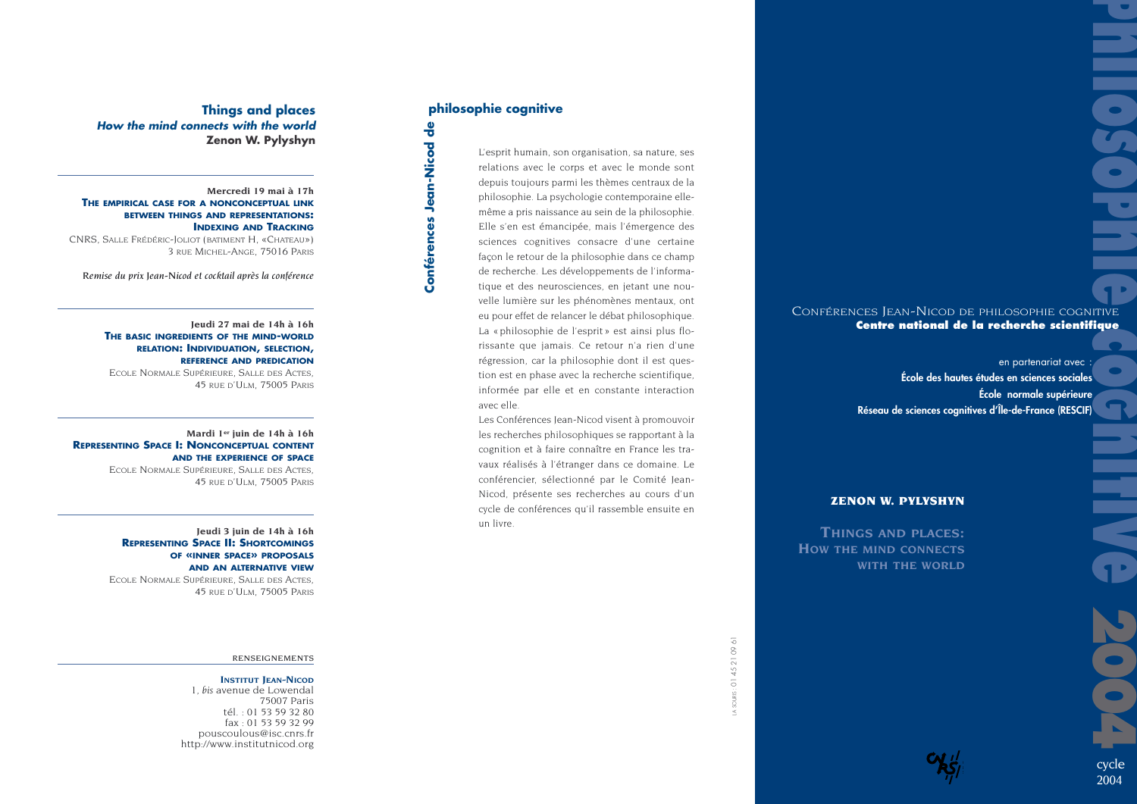# **Philoso Phillips Cookie**

# CONFÉRENCES JEAN-NICOD DE PHILOSOPHIE COGNITIVE **Centre national de la recherche scientifique**

**Gnitive** en partenariat avec : **École des hautes études en sciences sociales École normale supérieure Réseau de sciences cognitives d'Île-de-France (RESCIF)**

# **ZENON W. PYLYSHYN**

**THINGS AND PLACES:**  *HOW THE MIND CONNECTS WITH THE WORLD*

# **Things and places How the mind connects with the world Zenon W. Pylyshyn**

### **Mercredi 19 mai à 17h THE EMPIRICAL CASE FOR A NONCONCEPTUAL LINK BETWEEN THINGS AND REPRESENTATIONS: INDEXING AND TRACKING**

CNRS, SALLE FRÉDÉRIC-JOLIOT (BATIMENT H, «CHATEAU») 3 RUE MICHEL-ANGE, 75016 PARIS

*Remise du prix Jean-Nicod et cocktail après la conférence*

**Jeudi 27 mai de 14h à 16h THE BASIC INGREDIENTS OF THE MIND-WORLD RELATION: INDIVIDUATION, SELECTION, REFERENCE AND PREDICATION** ECOLE NORMALE SUPÉRIEURE, SALLE DES ACTES, 45 RUE D'ULM, 75005 PARIS

### **Mardi 1er juin de 14h à 16h REPRESENTING SPACE I: NONCONCEPTUAL CONTENT AND THE EXPERIENCE OF SPACE**

ECOLE NORMALE SUPÉRIEURE, SALLE DES ACTES, 45 RUE D'ULM, 75005 PARIS

**Jeudi 3 juin de 14h à 16h REPRESENTING SPACE II: SHORTCOMINGS OF «INNER SPACE» PROPOSALS AND AN ALTERNATIVE VIEW** ECOLE NORMALE SUPÉRIEURE, SALLE DES ACTES,

45 RUE D'ULM, 75005 PARIS

### RENSEIGNEMENTS

### **INSTITUT JEAN-NICOD**

1, *bis* avenue de Lowendal 75007 Paris tél. : 01 53 59 32 80 fax : 01 53 59 32 99 pouscoulous@isc.cnrs.fr http://www.institutnicod.org

# **philosophie cognitive**

**Conférences Jean-Nicod de**

Conférences Jean-Nicod de

L'esprit humain, son organisation, sa nature, ses relations avec le corps et avec le monde sont depuis toujours parmi les thèmes centraux de la philosophie. La psychologie contemporaine ellemême a pris naissance au sein de la philosophie. Elle s'en est émancipée, mais l'émergence des sciences cognitives consacre d'une certaine façon le retour de la philosophie dans ce champ de recherche. Les développements de l'informatique et des neurosciences, en jetant une nouvelle lumière sur les phénomènes mentaux, ont eu pour effet de relancer le débat philosophique. La « philosophie de l'esprit » est ainsi plus florissante que jamais. Ce retour n'a rien d'une régression, car la philosophie dont il est question est en phase avec la recherche scientifique, informée par elle et en constante interaction avec elle.

Les Conférences Jean-Nicod visent à promouvoir les recherches philosophiques se rapportant à la cognition et à faire connaître en France les travaux réalisés à l'étranger dans ce domaine. Le conférencier, sélectionné par le Comité Jean-Nicod, présente ses recherches au cours d'un cycle de conférences qu'il rassemble ensuite en un livre.







**2004**